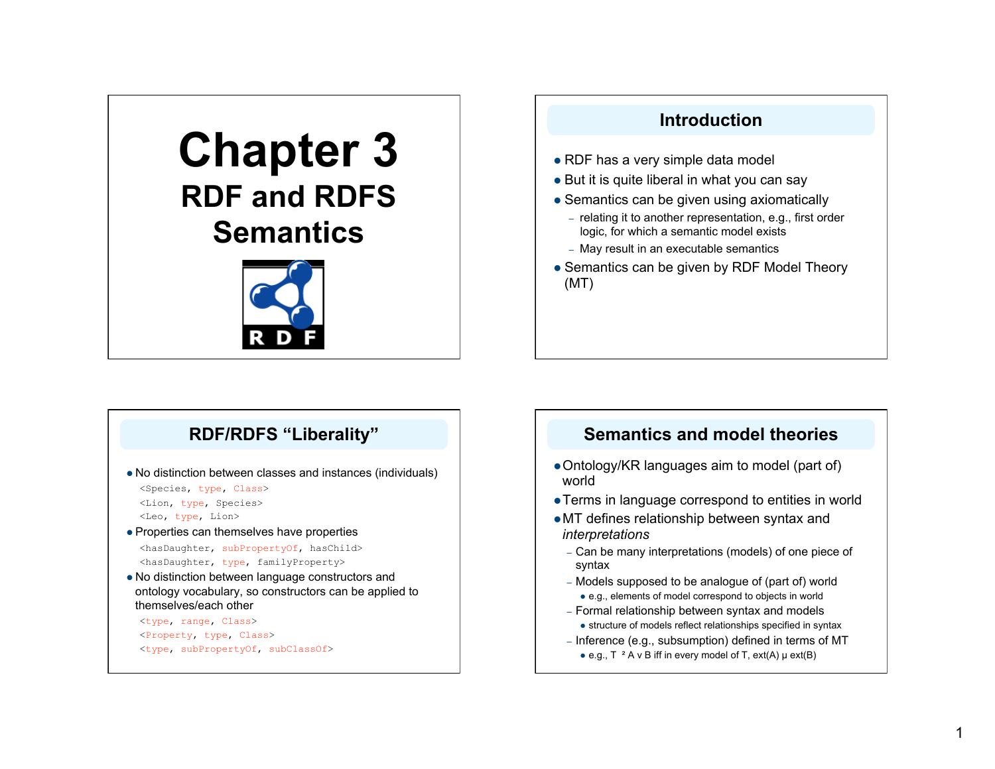# **Chapter 3 RDF and RDFS Semantics**



## **Introduction**  • RDF has a very simple data model

- But it is quite liberal in what you can say
- Semantics can be given using axiomatically
	- relating it to another representation, e.g., first order logic, for which a semantic model exists
	- May result in an executable semantics
- Semantics can be given by RDF Model Theory (MT)

## **RDF/RDFS "Liberality"**

- No distinction between classes and instances (individuals)
	- <Species, type, Class> <Lion, type, Species>
	- <Leo, type, Lion>
- Properties can themselves have properties <hasDaughter, subPropertyOf, hasChild> <hasDaughter, type, familyProperty>
- No distinction between language constructors and ontology vocabulary, so constructors can be applied to themselves/each other

<type, range, Class> <Property, type, Class> <type, subPropertyOf, subClassOf>

## **Semantics and model theories**

- Ontology/KR languages aim to model (part of) world
- Terms in language correspond to entities in world
- MT defines relationship between syntax and *interpretations*
	- Can be many interpretations (models) of one piece of syntax
	- Models supposed to be analogue of (part of) world e.g., elements of model correspond to objects in world
	- Formal relationship between syntax and models • structure of models reflect relationships specified in syntax
	- Inference (e.g., subsumption) defined in terms of MT e.g.,  $T^{-2}$  A v B iff in every model of T, ext(A)  $\mu$  ext(B)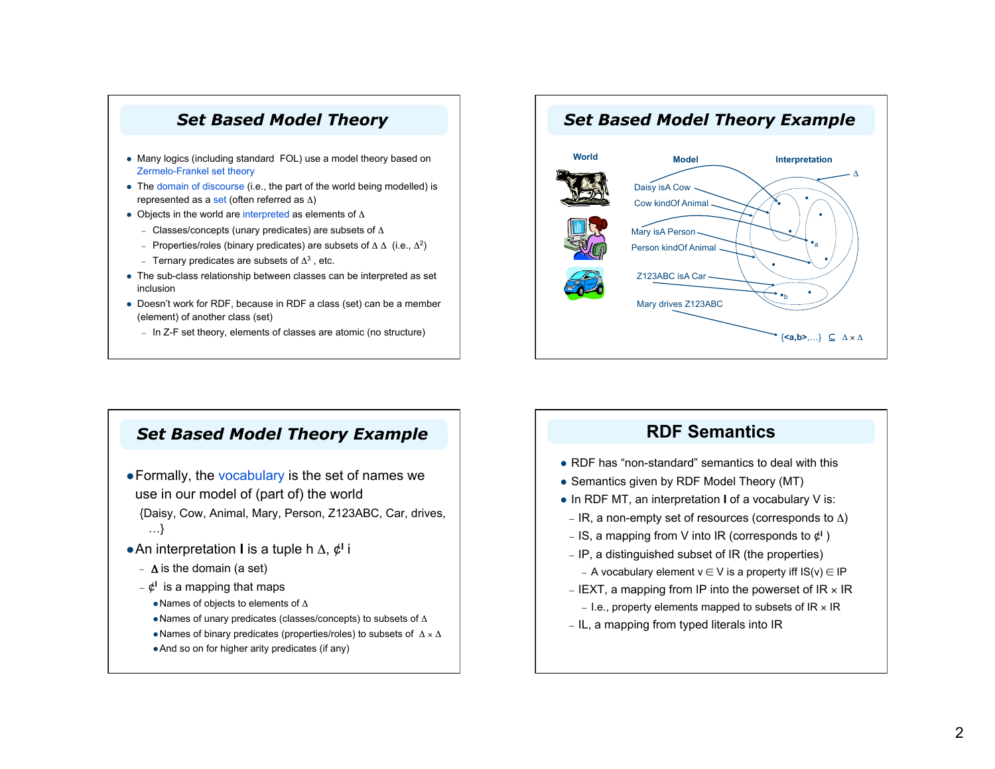#### *Set Based Model Theory*

- Many logics (including standard FOL) use a model theory based on Zermelo-Frankel set theory
- The domain of discourse (i.e., the part of the world being modelled) is represented as a set (often referred as  $\Delta$ )
- Objects in the world are interpreted as elements of  $\Delta$ 
	- Classes/concepts (unary predicates) are subsets of  $\Delta$
	- Properties/roles (binary predicates) are subsets of  $Δ Δ$  (i.e.,  $Δ²$ )
	- Ternary predicates are subsets of  $\Delta^3$ , etc.
- The sub-class relationship between classes can be interpreted as set inclusion
- Doesn't work for RDF, because in RDF a class (set) can be a member (element) of another class (set)
	- In Z-F set theory, elements of classes are atomic (no structure)

#### *Set Based Model Theory Example*

- Formally, the vocabulary is the set of names we use in our model of (part of) the world
	- {Daisy, Cow, Animal, Mary, Person, Z123ABC, Car, drives, …}
- An interpretation **I** is a tuple h Δ, ¢**<sup>I</sup>** i
	- $\Delta$  is the domain (a set)
	- $-\mathfrak{C}^1$  is a mapping that maps
		- Names of objects to elements of Δ
		- Names of unary predicates (classes/concepts) to subsets of  $\Delta$
		- Names of binary predicates (properties/roles) to subsets of  $\Delta \times \Delta$
		- And so on for higher arity predicates (if any)

## *Set Based Model Theory Example*



#### **RDF Semantics**

- RDF has "non-standard" semantics to deal with this
- Semantics given by RDF Model Theory (MT)
- In RDF MT, an interpretation **I** of a vocabulary V is:
- IR, a non-empty set of resources (corresponds to  $\Delta$ )
- IS, a mapping from V into IR (corresponds to  $\phi^1$ )
- IP, a distinguished subset of IR (the properties)
	- A vocabulary element  $v \in V$  is a property iff  $IS(v) \in IP$
- IEXT, a mapping from IP into the powerset of  $IR \times IR$ 
	- I.e., property elements mapped to subsets of  $IR \times IR$
- IL, a mapping from typed literals into IR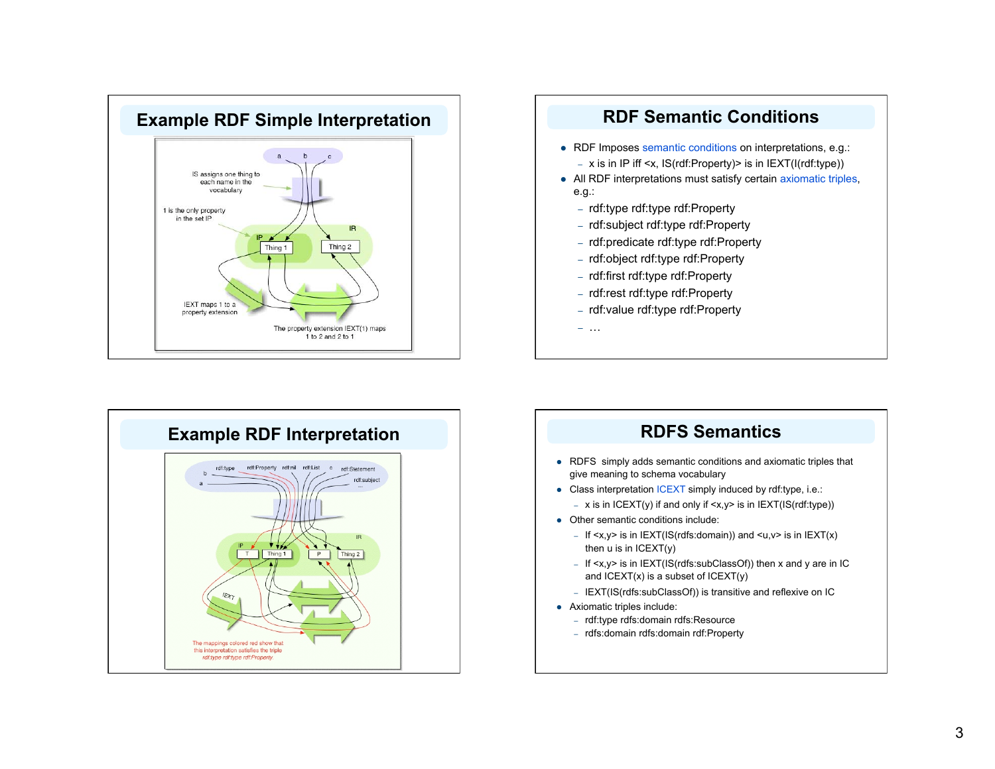





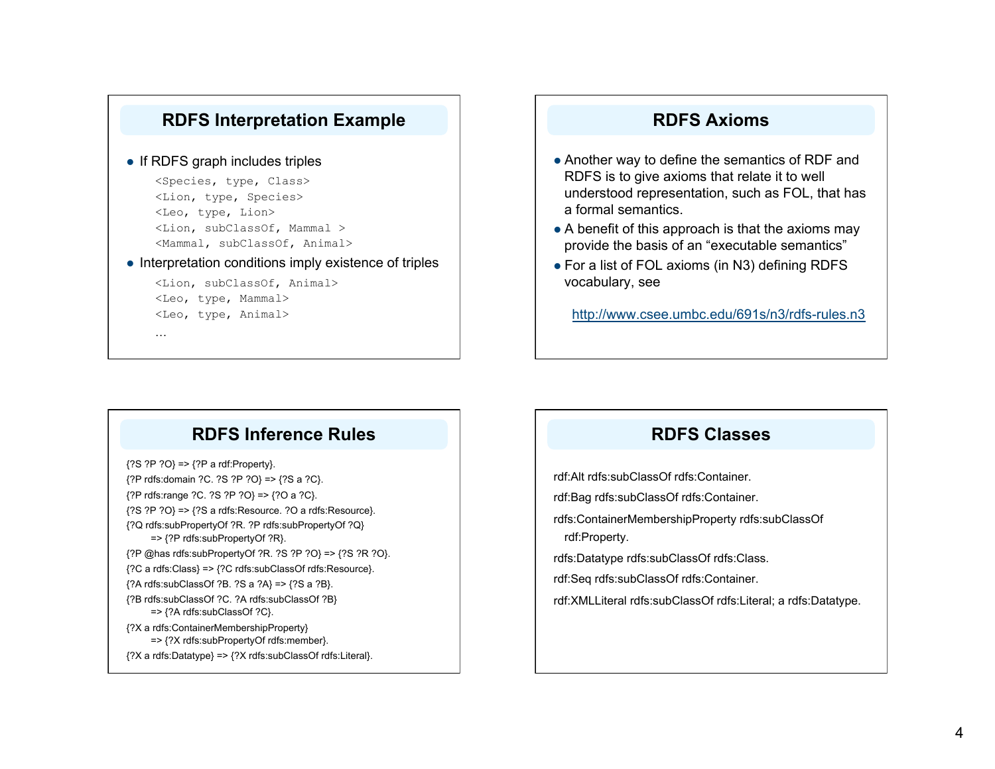

#### $\bullet$  If RDFS graph includes triples

<Species, type, Class> <Lion, type, Species> <Leo, type, Lion> <Lion, subClassOf, Mammal > <Mammal, subClassOf, Animal>

 $\bullet$  Interpretation conditions imply existence of triples

<Lion, subClassOf, Animal> <Leo, type, Mammal> <Leo, type, Animal>

#### **RDFS Axioms**

- Another way to define the semantics of RDF and RDFS is to give axioms that relate it to well understood representation, such as FOL, that has a formal semantics.
- A benefit of this approach is that the axioms may provide the basis of an "executable semantics"
- For a list of FOL axioms (in N3) defining RDFS vocabulary, see

http://www.csee.umbc.edu/691s/n3/rdfs-rules.n3

## **RDFS Inference Rules**

{?S ?P ?O} => {?P a rdf:Property}.

…

- {?P rdfs:domain ?C. ?S ?P ?O} => {?S a ?C}.
- {?P rdfs:range ?C. ?S ?P ?O} => {?O a ?C}.
- {?S ?P ?O} => {?S a rdfs:Resource. ?O a rdfs:Resource}.
- {?Q rdfs:subPropertyOf ?R. ?P rdfs:subPropertyOf ?Q} => {?P rdfs:subPropertyOf ?R}.
- {?P @has rdfs:subPropertyOf ?R. ?S ?P ?O} => {?S ?R ?O}.
- {?C a rdfs:Class} => {?C rdfs:subClassOf rdfs:Resource}.
- {?A rdfs:subClassOf ?B. ?S a ?A} => {?S a ?B}.
- {?B rdfs:subClassOf ?C. ?A rdfs:subClassOf ?B} => {?A rdfs:subClassOf ?C}.
- {?X a rdfs:ContainerMembershipProperty} => {?X rdfs:subPropertyOf rdfs:member}.
- {?X a rdfs:Datatype} => {?X rdfs:subClassOf rdfs:Literal}.

## **RDFS Classes**

rdf:Alt rdfs:subClassOf rdfs:Container.

rdf:Bag rdfs:subClassOf rdfs:Container.

rdfs:ContainerMembershipProperty rdfs:subClassOf rdf:Property.

rdfs:Datatype rdfs:subClassOf rdfs:Class.

rdf:Seq rdfs:subClassOf rdfs:Container.

rdf:XMLLiteral rdfs:subClassOf rdfs:Literal; a rdfs:Datatype.